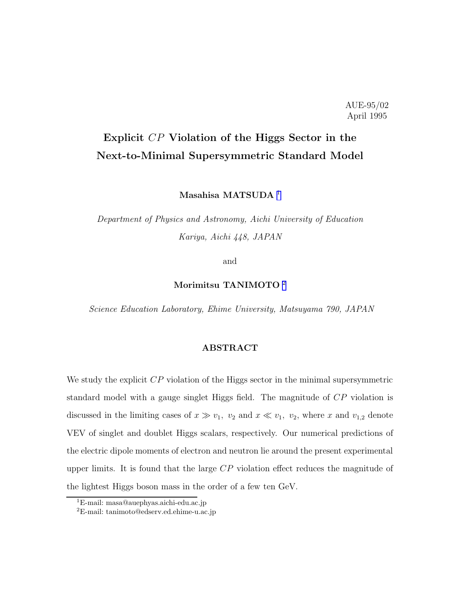### AUE-95/02 April 1995

# Explicit CP Violation of the Higgs Sector in the Next-to-Minimal Supersymmetric Standard Model

Masahisa MATSUDA<sup>1</sup>

Department of Physics and Astronomy, Aichi University of Education Kariya, Aichi 448, JAPAN

and

### Morimitsu TANIMOTO <sup>2</sup>

Science Education Laboratory, Ehime University, Matsuyama 790, JAPAN

### ABSTRACT

We study the explicit  $CP$  violation of the Higgs sector in the minimal supersymmetric standard model with a gauge singlet Higgs field. The magnitude of CP violation is discussed in the limiting cases of  $x \gg v_1$ ,  $v_2$  and  $x \ll v_1$ ,  $v_2$ , where x and  $v_{1,2}$  denote VEV of singlet and doublet Higgs scalars, respectively. Our numerical predictions of the electric dipole moments of electron and neutron lie around the present experimental upper limits. It is found that the large CP violation effect reduces the magnitude of the lightest Higgs boson mass in the order of a few ten GeV.

<sup>1</sup>E-mail: masa@auephyas.aichi-edu.ac.jp

<sup>2</sup>E-mail: tanimoto@edserv.ed.ehime-u.ac.jp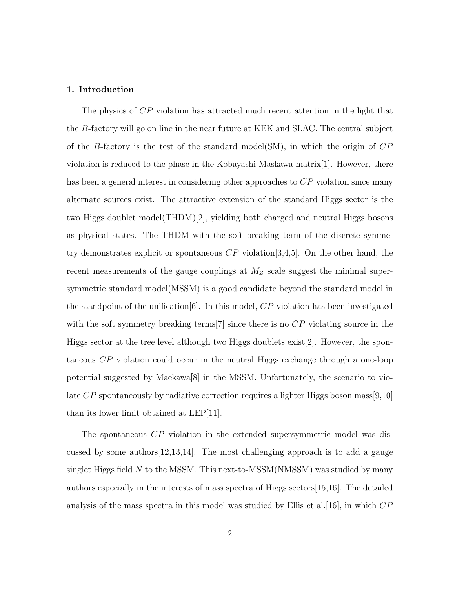#### 1. Introduction

The physics of CP violation has attracted much recent attention in the light that the B-factory will go on line in the near future at KEK and SLAC. The central subject of the B-factory is the test of the standard model(SM), in which the origin of  $CP$ violation is reduced to the phase in the Kobayashi-Maskawa matrix[1]. However, there has been a general interest in considering other approaches to  $\mathbb{CP}$  violation since many alternate sources exist. The attractive extension of the standard Higgs sector is the two Higgs doublet model(THDM)[2], yielding both charged and neutral Higgs bosons as physical states. The THDM with the soft breaking term of the discrete symmetry demonstrates explicit or spontaneous  $\mathbb{CP}$  violation [3,4,5]. On the other hand, the recent measurements of the gauge couplings at  $M_Z$  scale suggest the minimal supersymmetric standard model(MSSM) is a good candidate beyond the standard model in the standpoint of the unification  $[6]$ . In this model, CP violation has been investigated with the soft symmetry breaking terms  $[7]$  since there is no  $\mathbb{CP}$  violating source in the Higgs sector at the tree level although two Higgs doublets exist[2]. However, the spontaneous CP violation could occur in the neutral Higgs exchange through a one-loop potential suggested by Maekawa[8] in the MSSM. Unfortunately, the scenario to violate  $CP$  spontaneously by radiative correction requires a lighter Higgs boson mass [9,10] than its lower limit obtained at LEP[11].

The spontaneous CP violation in the extended supersymmetric model was discussed by some authors[12,13,14]. The most challenging approach is to add a gauge singlet Higgs field N to the MSSM. This next-to-MSSM(NMSSM) was studied by many authors especially in the interests of mass spectra of Higgs sectors[15,16]. The detailed analysis of the mass spectra in this model was studied by Ellis et al. [16], in which  $CP$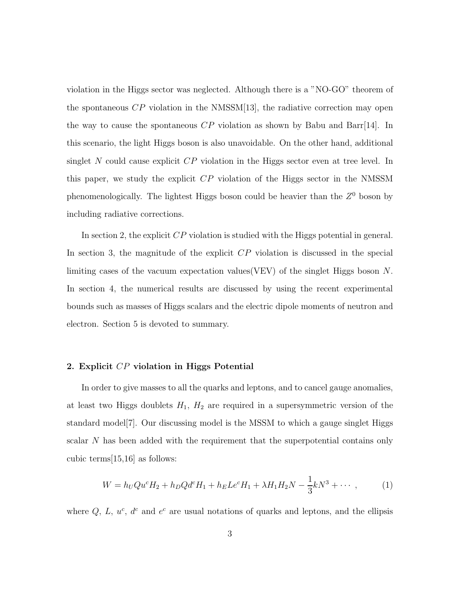violation in the Higgs sector was neglected. Although there is a "NO-GO" theorem of the spontaneous  $\mathbb{CP}$  violation in the NMSSM[13], the radiative correction may open the way to cause the spontaneous  $CP$  violation as shown by Babu and Barr[14]. In this scenario, the light Higgs boson is also unavoidable. On the other hand, additional singlet  $N$  could cause explicit  $CP$  violation in the Higgs sector even at tree level. In this paper, we study the explicit CP violation of the Higgs sector in the NMSSM phenomenologically. The lightest Higgs boson could be heavier than the  $Z<sup>0</sup>$  boson by including radiative corrections.

In section 2, the explicit  $\overline{CP}$  violation is studied with the Higgs potential in general. In section 3, the magnitude of the explicit  $\mathbb{CP}$  violation is discussed in the special limiting cases of the vacuum expectation values(VEV) of the singlet Higgs boson N. In section 4, the numerical results are discussed by using the recent experimental bounds such as masses of Higgs scalars and the electric dipole moments of neutron and electron. Section 5 is devoted to summary.

#### 2. Explicit CP violation in Higgs Potential

In order to give masses to all the quarks and leptons, and to cancel gauge anomalies, at least two Higgs doublets  $H_1$ ,  $H_2$  are required in a supersymmetric version of the standard model[7]. Our discussing model is the MSSM to which a gauge singlet Higgs scalar N has been added with the requirement that the superpotential contains only cubic terms[15,16] as follows:

$$
W = h_U Q u^c H_2 + h_D Q d^c H_1 + h_E L e^c H_1 + \lambda H_1 H_2 N - \frac{1}{3} k N^3 + \cdots,
$$
 (1)

where  $Q, L, u^c, d^c$  and  $e^c$  are usual notations of quarks and leptons, and the ellipsis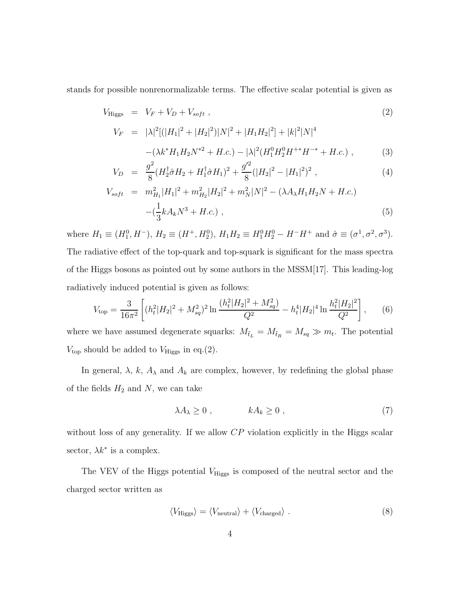stands for possible nonrenormalizable terms. The effective scalar potential is given as

$$
V_{\text{Higgs}} = V_F + V_D + V_{soft} \,, \tag{2}
$$

$$
V_F = |\lambda|^2 [(|H_1|^2 + |H_2|^2)|N|^2 + |H_1H_2|^2] + |k|^2 |N|^4
$$

$$
-(\lambda k^* H_1 H_2 N^{*2} + H.c.) - |\lambda|^2 (H_1^0 H_2^0 H^{+*} H^{-*} + H.c.) ,
$$
 (3)

$$
V_D = \frac{g^2}{8} (H_2^{\dagger} \hat{\sigma} H_2 + H_1^{\dagger} \hat{\sigma} H_1)^2 + \frac{g^{\prime 2}}{8} (|H_2|^2 - |H_1|^2)^2 , \qquad (4)
$$

$$
V_{soft} = m_{H_1}^2 |H_1|^2 + m_{H_2}^2 |H_2|^2 + m_N^2 |N|^2 - (\lambda A_\lambda H_1 H_2 N + H.c.)
$$
  
 
$$
- (\frac{1}{3} k A_k N^3 + H.c.) ,
$$
 (5)

where  $H_1 \equiv (H_1^0, H^-), H_2 \equiv (H^+, H_2^0), H_1 H_2 \equiv H_1^0 H_2^0 - H^- H^+$  and  $\hat{\sigma} \equiv (\sigma^1, \sigma^2, \sigma^3)$ . The radiative effect of the top-quark and top-squark is significant for the mass spectra of the Higgs bosons as pointed out by some authors in the MSSM[17]. This leading-log radiatively induced potential is given as follows:

$$
V_{\rm top} = \frac{3}{16\pi^2} \left[ (h_t^2 |H_2|^2 + M_{sq}^2)^2 \ln \frac{(h_t^2 |H_2|^2 + M_{sq}^2)}{Q^2} - h_t^4 |H_2|^4 \ln \frac{h_t^2 |H_2|^2}{Q^2} \right],\tag{6}
$$

where we have assumed degenerate squarks:  $M_{\tilde{t}_L} = M_{\tilde{t}_R} = M_{sq} \gg m_t$ . The potential  $V_{\text{top}}$  should be added to  $V_{\text{Higgs}}$  in eq.(2).

In general,  $\lambda$ ,  $k$ ,  $A_{\lambda}$  and  $A_k$  are complex, however, by redefining the global phase of the fields  $H_2$  and  $N$ , we can take

$$
\lambda A_{\lambda} \ge 0 , \qquad k A_k \ge 0 , \qquad (7)
$$

without loss of any generality. If we allow  $\mathbb{CP}$  violation explicitly in the Higgs scalar sector,  $\lambda k^*$  is a complex.

The VEV of the Higgs potential  $V_{\rm Higgs}$  is composed of the neutral sector and the charged sector written as

$$
\langle V_{\text{Higgs}}\rangle = \langle V_{\text{neutral}}\rangle + \langle V_{\text{charged}}\rangle \tag{8}
$$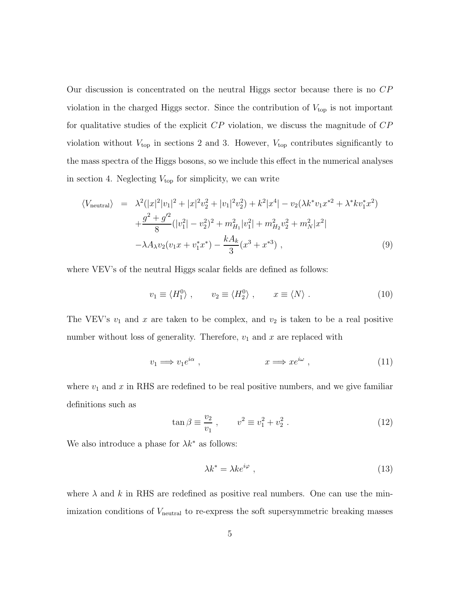Our discussion is concentrated on the neutral Higgs sector because there is no CP violation in the charged Higgs sector. Since the contribution of  $V_{top}$  is not important for qualitative studies of the explicit CP violation, we discuss the magnitude of CP violation without  $V_{\text{top}}$  in sections 2 and 3. However,  $V_{\text{top}}$  contributes significantly to the mass spectra of the Higgs bosons, so we include this effect in the numerical analyses in section 4. Neglecting  $V_{\text{top}}$  for simplicity, we can write

$$
\langle V_{\text{neutral}} \rangle = \lambda^2 (|x|^2 |v_1|^2 + |x|^2 v_2^2 + |v_1|^2 v_2^2) + k^2 |x^4| - v_2 (\lambda k^* v_1 x^{*2} + \lambda^* k v_1^* x^2) + \frac{g^2 + g'^2}{8} (|v_1^2| - v_2^2)^2 + m_{H_1}^2 |v_1^2| + m_{H_2}^2 v_2^2 + m_N^2 |x^2| - \lambda A_\lambda v_2 (v_1 x + v_1^* x^*) - \frac{k A_k}{3} (x^3 + x^{*3}),
$$
\n(9)

where VEV's of the neutral Higgs scalar fields are defined as follows:

$$
v_1 \equiv \langle H_1^0 \rangle \; , \qquad v_2 \equiv \langle H_2^0 \rangle \; , \qquad x \equiv \langle N \rangle \; . \tag{10}
$$

The VEV's  $v_1$  and x are taken to be complex, and  $v_2$  is taken to be a real positive number without loss of generality. Therefore,  $v_1$  and  $x$  are replaced with

$$
v_1 \Longrightarrow v_1 e^{i\alpha} , \qquad \qquad x \Longrightarrow x e^{i\omega} , \qquad (11)
$$

where  $v_1$  and x in RHS are redefined to be real positive numbers, and we give familiar definitions such as

$$
\tan \beta \equiv \frac{v_2}{v_1} \ , \qquad v^2 \equiv v_1^2 + v_2^2 \ . \tag{12}
$$

We also introduce a phase for  $\lambda k^*$  as follows:

$$
\lambda k^* = \lambda k e^{i\varphi} \tag{13}
$$

where  $\lambda$  and k in RHS are redefined as positive real numbers. One can use the minimization conditions of  $V_{\text{neutral}}$  to re-express the soft supersymmetric breaking masses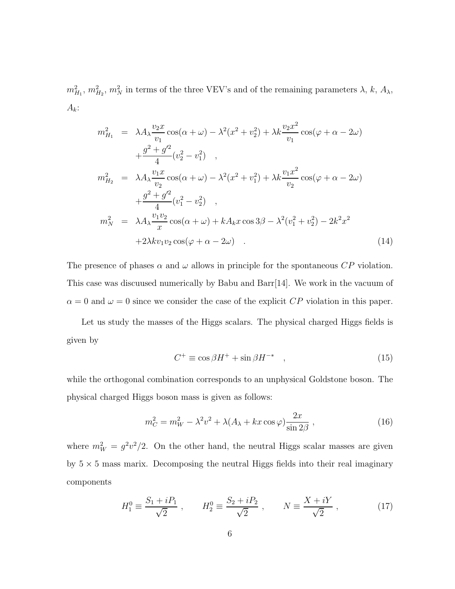$m_{H_1}^2$ ,  $m_{H_2}^2$ ,  $m_N^2$  in terms of the three VEV's and of the remaining parameters  $\lambda$ ,  $k$ ,  $A_\lambda$ ,  $A_k$ :

$$
m_{H_1}^2 = \lambda A_{\lambda} \frac{v_2 x}{v_1} \cos(\alpha + \omega) - \lambda^2 (x^2 + v_2^2) + \lambda k \frac{v_2 x^2}{v_1} \cos(\varphi + \alpha - 2\omega)
$$
  
\n
$$
+ \frac{g^2 + g'^2}{4} (v_2^2 - v_1^2) ,
$$
  
\n
$$
m_{H_2}^2 = \lambda A_{\lambda} \frac{v_1 x}{v_2} \cos(\alpha + \omega) - \lambda^2 (x^2 + v_1^2) + \lambda k \frac{v_1 x^2}{v_2} \cos(\varphi + \alpha - 2\omega)
$$
  
\n
$$
+ \frac{g^2 + g'^2}{4} (v_1^2 - v_2^2) ,
$$
  
\n
$$
m_N^2 = \lambda A_{\lambda} \frac{v_1 v_2}{x} \cos(\alpha + \omega) + k A_{k} x \cos 3\beta - \lambda^2 (v_1^2 + v_2^2) - 2k^2 x^2
$$
  
\n
$$
+ 2\lambda k v_1 v_2 \cos(\varphi + \alpha - 2\omega) .
$$
  
\n(14)

The presence of phases  $\alpha$  and  $\omega$  allows in principle for the spontaneous CP violation. This case was discuused numerically by Babu and Barr[14]. We work in the vacuum of  $\alpha = 0$  and  $\omega = 0$  since we consider the case of the explicit CP violation in this paper.

Let us study the masses of the Higgs scalars. The physical charged Higgs fields is given by

$$
C^{+} \equiv \cos\beta H^{+} + \sin\beta H^{-*} \quad , \tag{15}
$$

while the orthogonal combination corresponds to an unphysical Goldstone boson. The physical charged Higgs boson mass is given as follows:

$$
m_C^2 = m_W^2 - \lambda^2 v^2 + \lambda (A_\lambda + kx \cos \varphi) \frac{2x}{\sin 2\beta} , \qquad (16)
$$

where  $m_W^2 = g^2 v^2 / 2$ . On the other hand, the neutral Higgs scalar masses are given by  $5 \times 5$  mass marix. Decomposing the neutral Higgs fields into their real imaginary components

$$
H_1^0 \equiv \frac{S_1 + iP_1}{\sqrt{2}} \ , \qquad H_2^0 \equiv \frac{S_2 + iP_2}{\sqrt{2}} \ , \qquad N \equiv \frac{X + iY}{\sqrt{2}} \ , \tag{17}
$$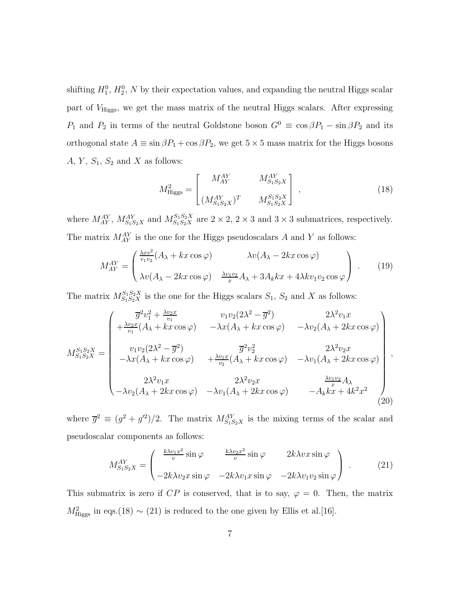shifting  $H_1^0$ ,  $H_2^0$ , N by their expectation values, and expanding the neutral Higgs scalar part of  $V_{\text{Higgs}}$ , we get the mass matrix of the neutral Higgs scalars. After expressing  $P_1$  and  $P_2$  in terms of the neutral Goldstone boson  $G^0 \equiv \cos \beta P_1 - \sin \beta P_2$  and its orthogonal state  $A \equiv \sin \beta P_1 + \cos \beta P_2$ , we get  $5 \times 5$  mass matrix for the Higgs bosons  $A, Y, S_1, S_2$  and X as follows:

$$
M_{\text{Higgs}}^2 = \begin{bmatrix} M_{AY}^{AY} & M_{S_1S_2X}^{AY} \\ (M_{S_1S_2X}^{AY})^T & M_{S_1S_2X}^{S_1S_2X} \end{bmatrix} ,
$$
 (18)

where  $M_{AY}^{AY}$ ,  $M_{S_1S_2X}^{AY}$  and  $M_{S_1S_2X}^{S_1S_2X}$  are  $2 \times 2$ ,  $2 \times 3$  and  $3 \times 3$  submatrices, respectively. The matrix  $M_{AY}^{AY}$  is the one for the Higgs pseudoscalars A and Y as follows:

$$
M_{AY}^{AY} = \begin{pmatrix} \frac{\lambda x v^2}{v_1 v_2} (A_\lambda + kx \cos \varphi) & \lambda v (A_\lambda - 2kx \cos \varphi) \\ \lambda v (A_\lambda - 2kx \cos \varphi) & \frac{\lambda v_1 v_2}{x} A_\lambda + 3A_k kx + 4\lambda k v_1 v_2 \cos \varphi \end{pmatrix} .
$$
 (19)

The matrix  $M_{S_1S_2X}^{S_1S_2X}$  is the one for the Higgs scalars  $S_1$ ,  $S_2$  and X as follows:

$$
M_{S_1S_2X}^{S_1S_2X} = \begin{pmatrix} \overline{g}^2v_1^2 + \frac{\lambda v_2 x}{v_1} & v_1v_2(2\lambda^2 - \overline{g}^2) & 2\lambda^2 v_1 x \\ + \frac{\lambda v_2 x}{v_1}(A_{\lambda} + kx \cos \varphi) & -\lambda x(A_{\lambda} + kx \cos \varphi) & -\lambda v_2(A_{\lambda} + 2kx \cos \varphi) \\ v_1v_2(2\lambda^2 - \overline{g}^2) & \overline{g}^2v_2^2 & 2\lambda^2 v_2 x \\ -\lambda x(A_{\lambda} + kx \cos \varphi) & + \frac{\lambda v_1 x}{v_2}(A_{\lambda} + kx \cos \varphi) & -\lambda v_1(A_{\lambda} + 2kx \cos \varphi) \\ 2\lambda^2 v_1 x & 2\lambda^2 v_2 x & \frac{\lambda v_1 v_2}{x} A_{\lambda} \\ -\lambda v_2(A_{\lambda} + 2kx \cos \varphi) & -\lambda v_1(A_{\lambda} + 2kx \cos \varphi) & -A_k kx + 4k^2 x^2 \end{pmatrix},
$$
\n(20)

where  $\bar{g}^2 \equiv (g^2 + g'^2)/2$ . The matrix  $M_{S_1S_2X}^{AY}$  is the mixing terms of the scalar and pseudoscalar components as follows:

$$
M_{S_1S_2X}^{AY} = \begin{pmatrix} \frac{k\lambda v_1 x^2}{v} \sin \varphi & \frac{k\lambda v_2 x^2}{v} \sin \varphi & 2k\lambda v x \sin \varphi \\ -2k\lambda v_2 x \sin \varphi & -2k\lambda v_1 x \sin \varphi & -2k\lambda v_1 v_2 \sin \varphi \end{pmatrix} .
$$
 (21)

This submatrix is zero if  $CP$  is conserved, that is to say,  $\varphi = 0$ . Then, the matrix  $M_{\text{Higgs}}^2$  in eqs.(18) ~ (21) is reduced to the one given by Ellis et al.[16].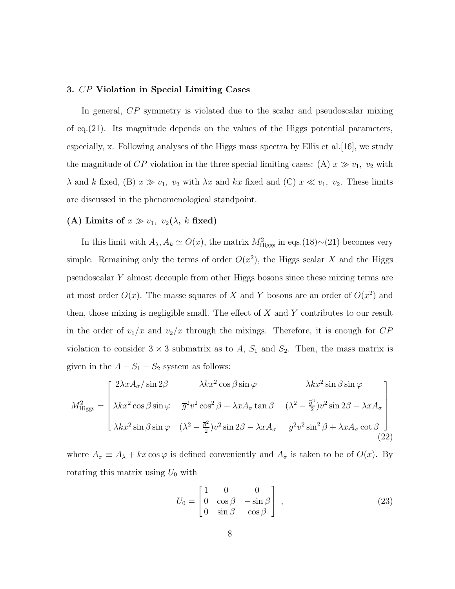### 3. CP Violation in Special Limiting Cases

In general, CP symmetry is violated due to the scalar and pseudoscalar mixing of eq.(21). Its magnitude depends on the values of the Higgs potential parameters, especially, x. Following analyses of the Higgs mass spectra by Ellis et al. [16], we study the magnitude of CP violation in the three special limiting cases: (A)  $x \gg v_1$ ,  $v_2$  with  $\lambda$  and k fixed, (B)  $x \gg v_1$ ,  $v_2$  with  $\lambda x$  and kx fixed and (C)  $x \ll v_1$ ,  $v_2$ . These limits are discussed in the phenomenological standpoint.

### (A) Limits of  $x \gg v_1$ ,  $v_2(\lambda, k \text{ fixed})$

In this limit with  $A_{\lambda}, A_k \simeq O(x)$ , the matrix  $M_{\text{Higgs}}^2$  in eqs.(18)~(21) becomes very simple. Remaining only the terms of order  $O(x^2)$ , the Higgs scalar X and the Higgs pseudoscalar Y almost decouple from other Higgs bosons since these mixing terms are at most order  $O(x)$ . The masse squares of X and Y bosons are an order of  $O(x^2)$  and then, those mixing is negligible small. The effect of  $X$  and  $Y$  contributes to our result in the order of  $v_1/x$  and  $v_2/x$  through the mixings. Therefore, it is enough for  $CP$ violation to consider  $3 \times 3$  submatrix as to A,  $S_1$  and  $S_2$ . Then, the mass matrix is given in the  $A - S_1 - S_2$  system as follows:

$$
M_{\text{Higgs}}^2 = \begin{bmatrix} 2\lambda x A_{\sigma} / \sin 2\beta & \lambda k x^2 \cos \beta \sin \varphi & \lambda k x^2 \sin \beta \sin \varphi \\ \lambda k x^2 \cos \beta \sin \varphi & \overline{g}^2 v^2 \cos^2 \beta + \lambda x A_{\sigma} \tan \beta & (\lambda^2 - \frac{\overline{g}^2}{2}) v^2 \sin 2\beta - \lambda x A_{\sigma} \\ \lambda k x^2 \sin \beta \sin \varphi & (\lambda^2 - \frac{\overline{g}^2}{2}) v^2 \sin 2\beta - \lambda x A_{\sigma} & \overline{g}^2 v^2 \sin^2 \beta + \lambda x A_{\sigma} \cot \beta \\ (22) \end{bmatrix}
$$

where  $A_{\sigma} \equiv A_{\lambda} + kx \cos \varphi$  is defined conveniently and  $A_{\sigma}$  is taken to be of  $O(x)$ . By rotating this matrix using  $U_0$  with

$$
U_0 = \begin{bmatrix} 1 & 0 & 0 \\ 0 & \cos \beta & -\sin \beta \\ 0 & \sin \beta & \cos \beta \end{bmatrix},
$$
 (23)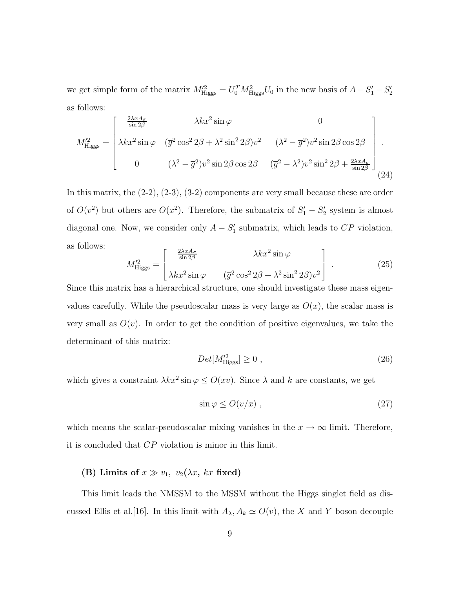we get simple form of the matrix  $M'^{2}_{\text{Higgs}} = U_0^T M^2_{\text{Higgs}} U_0$  in the new basis of  $A - S_1' - S_2'$ as follows:

$$
M_{\text{Higgs}}^{\prime 2} = \begin{bmatrix} \frac{2\lambda x A_{\sigma}}{\sin 2\beta} & \lambda k x^2 \sin \varphi & 0\\ \lambda k x^2 \sin \varphi & (\overline{g}^2 \cos^2 2\beta + \lambda^2 \sin^2 2\beta) v^2 & (\lambda^2 - \overline{g}^2) v^2 \sin 2\beta \cos 2\beta\\ 0 & (\lambda^2 - \overline{g}^2) v^2 \sin 2\beta \cos 2\beta & (\overline{g}^2 - \lambda^2) v^2 \sin^2 2\beta + \frac{2\lambda x A_{\sigma}}{\sin 2\beta} \end{bmatrix} .
$$
\n(24)

In this matrix, the (2-2), (2-3), (3-2) components are very small because these are order of  $O(v^2)$  but others are  $O(x^2)$ . Therefore, the submatrix of  $S'_1 - S'_2$  system is almost diagonal one. Now, we consider only  $A - S'_1$  submatrix, which leads to  $CP$  violation, as follows:

$$
M_{\text{Higgs}}^{\prime 2} = \begin{bmatrix} \frac{2\lambda x A_{\sigma}}{\sin 2\beta} & \lambda k x^2 \sin \varphi \\ \lambda k x^2 \sin \varphi & (\overline{g}^2 \cos^2 2\beta + \lambda^2 \sin^2 2\beta) v^2 \end{bmatrix} . \tag{25}
$$

Since this matrix has a hierarchical structure, one should investigate these mass eigenvalues carefully. While the pseudoscalar mass is very large as  $O(x)$ , the scalar mass is very small as  $O(v)$ . In order to get the condition of positive eigenvalues, we take the determinant of this matrix:

$$
Det[M_{\text{Higgs}}^{\prime 2}] \ge 0 , \qquad (26)
$$

which gives a constraint  $\lambda kx^2 \sin \varphi \le O(xv)$ . Since  $\lambda$  and  $k$  are constants, we get

$$
\sin \varphi \le O(v/x) , \qquad (27)
$$

which means the scalar-pseudoscalar mixing vanishes in the  $x \to \infty$  limit. Therefore, it is concluded that CP violation is minor in this limit.

# (B) Limits of  $x \gg v_1$ ,  $v_2(\lambda x, kx \text{ fixed})$

This limit leads the NMSSM to the MSSM without the Higgs singlet field as discussed Ellis et al.[16]. In this limit with  $A_{\lambda}, A_k \simeq O(v)$ , the X and Y boson decouple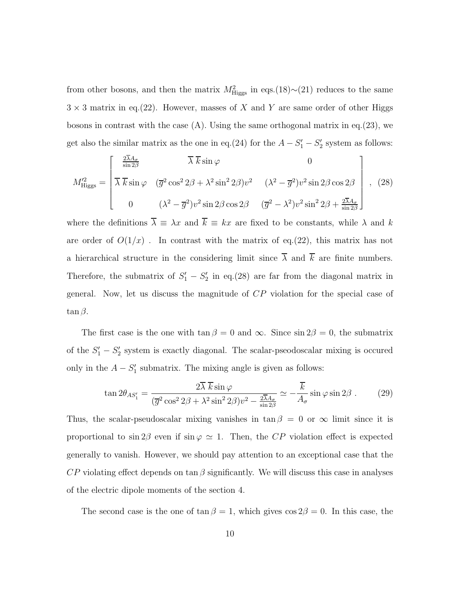from other bosons, and then the matrix  $M<sup>2</sup><sub>Higgs</sub>$  in eqs.(18)∼(21) reduces to the same  $3 \times 3$  matrix in eq.(22). However, masses of X and Y are same order of other Higgs bosons in contrast with the case (A). Using the same orthogonal matrix in eq.(23), we get also the similar matrix as the one in eq.(24) for the  $A - S_1' - S_2'$  system as follows:

$$
M_{\text{Higgs}}^{\prime 2} = \begin{bmatrix} \frac{2\overline{\lambda}A_{\sigma}}{\sin 2\beta} & \overline{\lambda} \ \overline{k}\sin\varphi & 0\\ \overline{\lambda} \ \overline{k}\sin\varphi & (\overline{g}^{2}\cos^{2}2\beta + \lambda^{2}\sin^{2}2\beta)v^{2} & (\lambda^{2} - \overline{g}^{2})v^{2}\sin 2\beta\cos 2\beta\\ 0 & (\lambda^{2} - \overline{g}^{2})v^{2}\sin 2\beta\cos 2\beta & (\overline{g}^{2} - \lambda^{2})v^{2}\sin^{2}2\beta + \frac{2\overline{\lambda}A_{\sigma}}{\sin 2\beta} \end{bmatrix}, (28)
$$

where the definitions  $\overline{\lambda} \equiv \lambda x$  and  $\overline{k} \equiv kx$  are fixed to be constants, while  $\lambda$  and k are order of  $O(1/x)$ . In contrast with the matrix of eq.(22), this matrix has not a hierarchical structure in the considering limit since  $\overline{\lambda}$  and  $\overline{k}$  are finite numbers. Therefore, the submatrix of  $S'_1 - S'_2$  in eq.(28) are far from the diagonal matrix in general. Now, let us discuss the magnitude of CP violation for the special case of  $\tan \beta$ .

The first case is the one with  $\tan \beta = 0$  and  $\infty$ . Since  $\sin 2\beta = 0$ , the submatrix of the  $S'_1 - S'_2$  system is exactly diagonal. The scalar-pseodoscalar mixing is occured only in the  $A - S'_1$  submatrix. The mixing angle is given as follows:

$$
\tan 2\theta_{AS'_1} = \frac{2\overline{\lambda}\ \overline{k}\sin\varphi}{(\overline{g}^2\cos^2 2\beta + \lambda^2\sin^2 2\beta)v^2 - \frac{2\overline{\lambda}A_\sigma}{\sin 2\beta}} \simeq -\frac{\overline{k}}{A_\sigma}\sin\varphi\sin 2\beta\ .\tag{29}
$$

Thus, the scalar-pseudoscalar mixing vanishes in  $\tan \beta = 0$  or  $\infty$  limit since it is proportional to  $\sin 2\beta$  even if  $\sin \varphi \simeq 1$ . Then, the CP violation effect is expected generally to vanish. However, we should pay attention to an exceptional case that the  $CP$  violating effect depends on tan  $\beta$  significantly. We will discuss this case in analyses of the electric dipole moments of the section 4.

The second case is the one of  $\tan \beta = 1$ , which gives  $\cos 2\beta = 0$ . In this case, the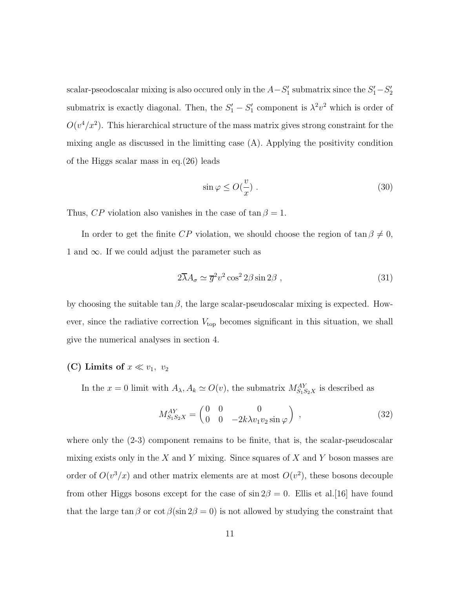scalar-pseodoscalar mixing is also occured only in the  $A-S'_1$  submatrix since the  $S'_1-S'_2$ submatrix is exactly diagonal. Then, the  $S'_1 - S'_1$  component is  $\lambda^2 v^2$  which is order of  $O(v^4/x^2)$ . This hierarchical structure of the mass matrix gives strong constraint for the mixing angle as discussed in the limitting case (A). Applying the positivity condition of the Higgs scalar mass in eq.(26) leads

$$
\sin \varphi \le O(\frac{v}{x}) . \tag{30}
$$

Thus,  $CP$  violation also vanishes in the case of  $\tan \beta = 1$ .

In order to get the finite CP violation, we should choose the region of  $\tan \beta \neq 0$ , 1 and  $\infty$ . If we could adjust the parameter such as

$$
2\overline{\lambda}A_{\sigma} \simeq \overline{g}^{2}v^{2}\cos^{2}2\beta\sin 2\beta , \qquad (31)
$$

by choosing the suitable  $\tan \beta$ , the large scalar-pseudoscalar mixing is expected. However, since the radiative correction  $V_{top}$  becomes significant in this situation, we shall give the numerical analyses in section 4.

### (C) Limits of  $x \ll v_1, v_2$

In the  $x = 0$  limit with  $A_{\lambda}, A_k \simeq O(v)$ , the submatrix  $M_{S_1S_2X}^{AY}$  is described as

$$
M_{S_1 S_2 X}^{AY} = \begin{pmatrix} 0 & 0 & 0 \\ 0 & 0 & -2k\lambda v_1 v_2 \sin \varphi \end{pmatrix} , \qquad (32)
$$

where only the (2-3) component remains to be finite, that is, the scalar-pseudoscalar mixing exists only in the X and Y mixing. Since squares of X and Y boson masses are order of  $O(v^3/x)$  and other matrix elements are at most  $O(v^2)$ , these bosons decouple from other Higgs bosons except for the case of  $\sin 2\beta = 0$ . Ellis et al. [16] have found that the large tan β or  $\cot \beta (\sin 2\beta = 0)$  is not allowed by studying the constraint that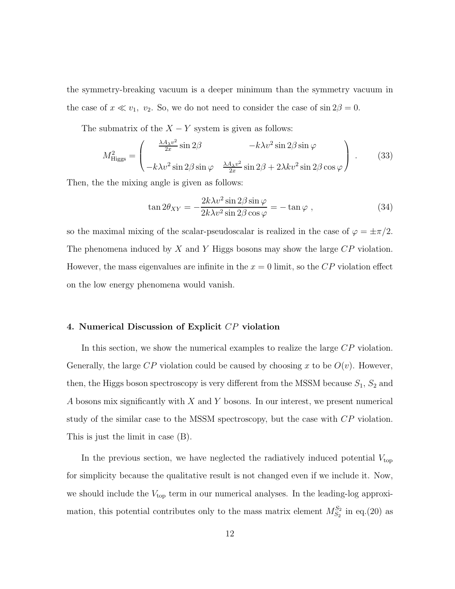the symmetry-breaking vacuum is a deeper minimum than the symmetry vacuum in the case of  $x \ll v_1$ ,  $v_2$ . So, we do not need to consider the case of sin  $2\beta = 0$ .

The submatrix of the  $X - Y$  system is given as follows:

$$
M_{\text{Higgs}}^2 = \begin{pmatrix} \frac{\lambda A_{\lambda} v^2}{2x} \sin 2\beta & -k\lambda v^2 \sin 2\beta \sin \varphi \\ -k\lambda v^2 \sin 2\beta \sin \varphi & \frac{\lambda A_{\lambda} v^2}{2x} \sin 2\beta + 2\lambda k v^2 \sin 2\beta \cos \varphi \end{pmatrix} .
$$
 (33)

Then, the the mixing angle is given as follows:

$$
\tan 2\theta_{XY} = -\frac{2k\lambda v^2 \sin 2\beta \sin \varphi}{2k\lambda v^2 \sin 2\beta \cos \varphi} = -\tan \varphi ,
$$
\n(34)

so the maximal mixing of the scalar-pseudoscalar is realized in the case of  $\varphi = \pm \pi/2$ . The phenomena induced by X and Y Higgs bosons may show the large  $\mathbb{CP}$  violation. However, the mass eigenvalues are infinite in the  $x = 0$  limit, so the  $\overline{CP}$  violation effect on the low energy phenomena would vanish.

### 4. Numerical Discussion of Explicit CP violation

In this section, we show the numerical examples to realize the large CP violation. Generally, the large  $CP$  violation could be caused by choosing x to be  $O(v)$ . However, then, the Higgs boson spectroscopy is very different from the MSSM because  $S_1, S_2$  and  $A$  bosons mix significantly with  $X$  and  $Y$  bosons. In our interest, we present numerical study of the similar case to the MSSM spectroscopy, but the case with CP violation. This is just the limit in case (B).

In the previous section, we have neglected the radiatively induced potential  $V_{\rm top}$ for simplicity because the qualitative result is not changed even if we include it. Now, we should include the  $V_{\text{top}}$  term in our numerical analyses. In the leading-log approximation, this potential contributes only to the mass matrix element  $M_{S_2}^{S_2}$  in eq.(20) as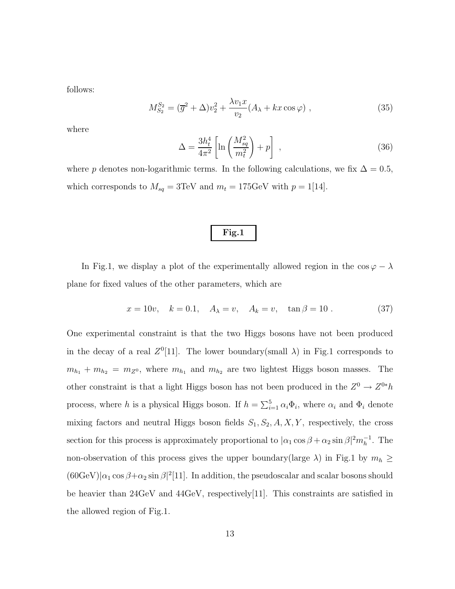follows:

$$
M_{S_2}^{S_2} = (\overline{g}^2 + \Delta)v_2^2 + \frac{\lambda v_1 x}{v_2} (A_\lambda + kx \cos \varphi) , \qquad (35)
$$

where

$$
\Delta = \frac{3h_t^4}{4\pi^2} \left[ \ln \left( \frac{M_{sq}^2}{m_t^2} \right) + p \right] \tag{36}
$$

where p denotes non-logarithmic terms. In the following calculations, we fix  $\Delta = 0.5$ , which corresponds to  $M_{sq} = 3 \text{TeV}$  and  $m_t = 175 \text{GeV}$  with  $p = 1$ [14].

$$
\boldsymbol{\mathrm{Fig.1}}
$$

In Fig.1, we display a plot of the experimentally allowed region in the  $\cos \varphi - \lambda$ plane for fixed values of the other parameters, which are

$$
x = 10v
$$
,  $k = 0.1$ ,  $A_{\lambda} = v$ ,  $A_k = v$ ,  $\tan \beta = 10$ . (37)

One experimental constraint is that the two Higgs bosons have not been produced in the decay of a real  $Z^0[11]$ . The lower boundary(small  $\lambda$ ) in Fig.1 corresponds to  $m_{h_1} + m_{h_2} = m_{Z^0}$ , where  $m_{h_1}$  and  $m_{h_2}$  are two lightest Higgs boson masses. The other constraint is that a light Higgs boson has not been produced in the  $Z^0 \to Z^{0*}h$ process, where h is a physical Higgs boson. If  $h = \sum_{i=1}^{5} \alpha_i \Phi_i$ , where  $\alpha_i$  and  $\Phi_i$  denote mixing factors and neutral Higgs boson fields  $S_1, S_2, A, X, Y$ , respectively, the cross section for this process is approximately proportional to  $|\alpha_1 \cos \beta + \alpha_2 \sin \beta|^2 m_h^{-1}$ . The non-observation of this process gives the upper boundary(large  $\lambda$ ) in Fig.1 by  $m_h \ge$  $(60 \text{GeV})|\alpha_1 \cos \beta + \alpha_2 \sin \beta|^2$ [11]. In addition, the pseudoscalar and scalar bosons should be heavier than 24GeV and 44GeV, respectively[11]. This constraints are satisfied in the allowed region of Fig.1.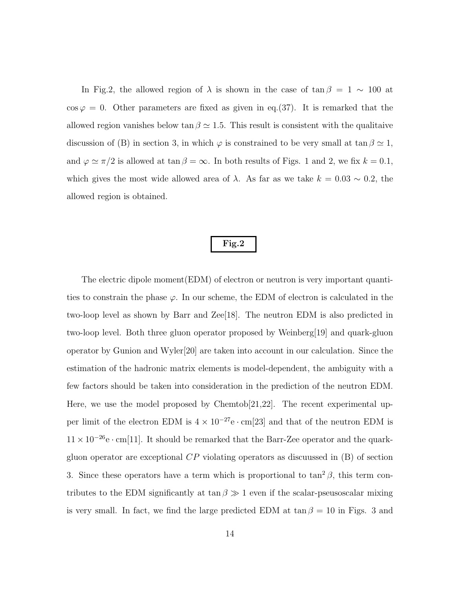In Fig.2, the allowed region of  $\lambda$  is shown in the case of tan  $\beta = 1 \sim 100$  at  $\cos \varphi = 0$ . Other parameters are fixed as given in eq.(37). It is remarked that the allowed region vanishes below tan  $\beta \simeq 1.5$ . This result is consistent with the qualitaive discussion of (B) in section 3, in which  $\varphi$  is constrained to be very small at tan  $\beta \simeq 1$ , and  $\varphi \simeq \pi/2$  is allowed at  $\tan \beta = \infty$ . In both results of Figs. 1 and 2, we fix  $k = 0.1$ , which gives the most wide allowed area of  $\lambda$ . As far as we take  $k = 0.03 \sim 0.2$ , the allowed region is obtained.

### Fig.2

The electric dipole moment(EDM) of electron or neutron is very important quantities to constrain the phase  $\varphi$ . In our scheme, the EDM of electron is calculated in the two-loop level as shown by Barr and Zee[18]. The neutron EDM is also predicted in two-loop level. Both three gluon operator proposed by Weinberg[19] and quark-gluon operator by Gunion and Wyler[20] are taken into account in our calculation. Since the estimation of the hadronic matrix elements is model-dependent, the ambiguity with a few factors should be taken into consideration in the prediction of the neutron EDM. Here, we use the model proposed by Chemtob[21,22]. The recent experimental upper limit of the electron EDM is  $4 \times 10^{-27}$ e $\cdot$  cm[23] and that of the neutron EDM is  $11\times10^{-26}\mathrm{e}\cdot\mathrm{cm}[11].$  It should be remarked that the Barr-Zee operator and the quarkgluon operator are exceptional  $\overline{CP}$  violating operators as discuussed in  $(B)$  of section 3. Since these operators have a term which is proportional to  $\tan^2 \beta$ , this term contributes to the EDM significantly at tan  $\beta \gg 1$  even if the scalar-pseusoscalar mixing is very small. In fact, we find the large predicted EDM at  $\tan \beta = 10$  in Figs. 3 and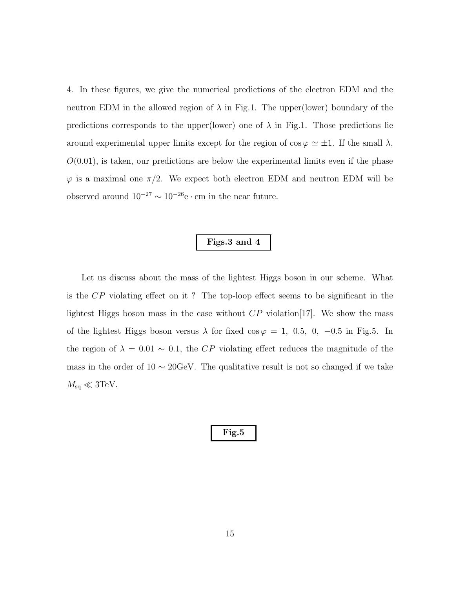4. In these figures, we give the numerical predictions of the electron EDM and the neutron EDM in the allowed region of  $\lambda$  in Fig.1. The upper(lower) boundary of the predictions corresponds to the upper(lower) one of  $\lambda$  in Fig.1. Those predictions lie around experimental upper limits except for the region of  $\cos \varphi \simeq \pm 1$ . If the small  $\lambda$ ,  $O(0.01)$ , is taken, our predictions are below the experimental limits even if the phase  $\varphi$  is a maximal one  $\pi/2$ . We expect both electron EDM and neutron EDM will be observed around  $10^{-27} \sim 10^{-26}$ e $\cdot$  cm in the near future.

# Figs.3 and 4

Let us discuss about the mass of the lightest Higgs boson in our scheme. What is the CP violating effect on it ? The top-loop effect seems to be significant in the lightest Higgs boson mass in the case without  $\mathbb{CP}$  violation [17]. We show the mass of the lightest Higgs boson versus  $\lambda$  for fixed cos  $\varphi = 1, 0.5, 0, -0.5$  in Fig.5. In the region of  $\lambda = 0.01 \sim 0.1$ , the CP violating effect reduces the magnitude of the mass in the order of  $10 \sim 20 \text{GeV}$ . The qualitative result is not so changed if we take  $M_{\rm sq}\ll 3{\rm TeV}.$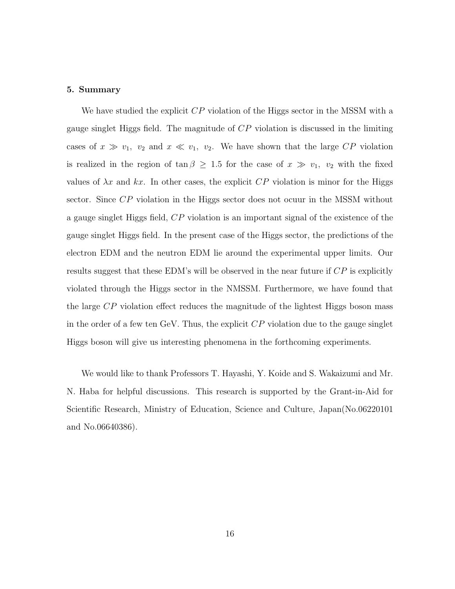#### 5. Summary

We have studied the explicit  $\mathbb{CP}$  violation of the Higgs sector in the MSSM with a gauge singlet Higgs field. The magnitude of CP violation is discussed in the limiting cases of  $x \gg v_1$ ,  $v_2$  and  $x \ll v_1$ ,  $v_2$ . We have shown that the large CP violation is realized in the region of  $\tan \beta \geq 1.5$  for the case of  $x \gg v_1$ ,  $v_2$  with the fixed values of  $\lambda x$  and  $kx$ . In other cases, the explicit CP violation is minor for the Higgs sector. Since CP violation in the Higgs sector does not ocuur in the MSSM without a gauge singlet Higgs field, CP violation is an important signal of the existence of the gauge singlet Higgs field. In the present case of the Higgs sector, the predictions of the electron EDM and the neutron EDM lie around the experimental upper limits. Our results suggest that these EDM's will be observed in the near future if  $CP$  is explicitly violated through the Higgs sector in the NMSSM. Furthermore, we have found that the large CP violation effect reduces the magnitude of the lightest Higgs boson mass in the order of a few ten GeV. Thus, the explicit  $\mathbb{CP}$  violation due to the gauge singlet Higgs boson will give us interesting phenomena in the forthcoming experiments.

We would like to thank Professors T. Hayashi, Y. Koide and S. Wakaizumi and Mr. N. Haba for helpful discussions. This research is supported by the Grant-in-Aid for Scientific Research, Ministry of Education, Science and Culture, Japan(No.06220101 and No.06640386).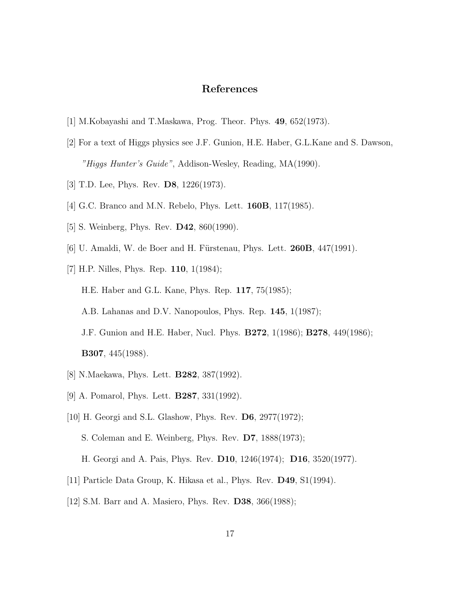# References

- [1] M.Kobayashi and T.Maskawa, Prog. Theor. Phys. 49, 652(1973).
- [2] For a text of Higgs physics see J.F. Gunion, H.E. Haber, G.L.Kane and S. Dawson, "Higgs Hunter's Guide", Addison-Wesley, Reading, MA(1990).
- [3] T.D. Lee, Phys. Rev. **D8**, 1226(1973).
- [4] G.C. Branco and M.N. Rebelo, Phys. Lett. 160B, 117(1985).
- [5] S. Weinberg, Phys. Rev. D42, 860(1990).
- [6] U. Amaldi, W. de Boer and H. Fürstenau, Phys. Lett.  $260B$ ,  $447(1991)$ .
- [7] H.P. Nilles, Phys. Rep. 110, 1(1984);

H.E. Haber and G.L. Kane, Phys. Rep. 117, 75(1985);

A.B. Lahanas and D.V. Nanopoulos, Phys. Rep. 145, 1(1987);

- J.F. Gunion and H.E. Haber, Nucl. Phys. B272, 1(1986); B278, 449(1986);
- B307, 445(1988).
- [8] N.Maekawa, Phys. Lett. B282, 387(1992).
- [9] A. Pomarol, Phys. Lett. B287, 331(1992).
- [10] H. Georgi and S.L. Glashow, Phys. Rev. **D6**, 2977(1972); S. Coleman and E. Weinberg, Phys. Rev. D7, 1888(1973); H. Georgi and A. Pais, Phys. Rev. D10, 1246(1974); D16, 3520(1977).
- [11] Particle Data Group, K. Hikasa et al., Phys. Rev. D49, S1(1994).
- [12] S.M. Barr and A. Masiero, Phys. Rev. D38, 366(1988);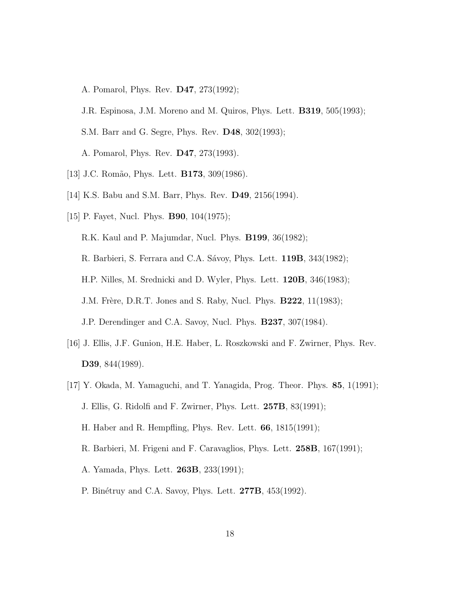A. Pomarol, Phys. Rev. D47, 273(1992);

J.R. Espinosa, J.M. Moreno and M. Quiros, Phys. Lett. B319, 505(1993);

S.M. Barr and G. Segre, Phys. Rev. D48, 302(1993);

A. Pomarol, Phys. Rev. D47, 273(1993).

- [13] J.C. Romão, Phys. Lett. **B173**, 309(1986).
- [14] K.S. Babu and S.M. Barr, Phys. Rev. D49, 2156(1994).
- [15] P. Fayet, Nucl. Phys. **B90**, 104(1975);

R.K. Kaul and P. Majumdar, Nucl. Phys. B199, 36(1982);

R. Barbieri, S. Ferrara and C.A. Sávoy, Phys. Lett. 119B, 343(1982);

H.P. Nilles, M. Srednicki and D. Wyler, Phys. Lett. 120B, 346(1983);

J.M. Frère, D.R.T. Jones and S. Raby, Nucl. Phys. **B222**, 11(1983);

J.P. Derendinger and C.A. Savoy, Nucl. Phys. B237, 307(1984).

- [16] J. Ellis, J.F. Gunion, H.E. Haber, L. Roszkowski and F. Zwirner, Phys. Rev. D39, 844(1989).
- [17] Y. Okada, M. Yamaguchi, and T. Yanagida, Prog. Theor. Phys. 85, 1(1991); J. Ellis, G. Ridolfi and F. Zwirner, Phys. Lett. 257B, 83(1991); H. Haber and R. Hempfling, Phys. Rev. Lett. 66, 1815(1991);
	- R. Barbieri, M. Frigeni and F. Caravaglios, Phys. Lett. 258B, 167(1991);
	- A. Yamada, Phys. Lett. 263B, 233(1991);
	- P. Binétruy and C.A. Savoy, Phys. Lett. **277B**, 453(1992).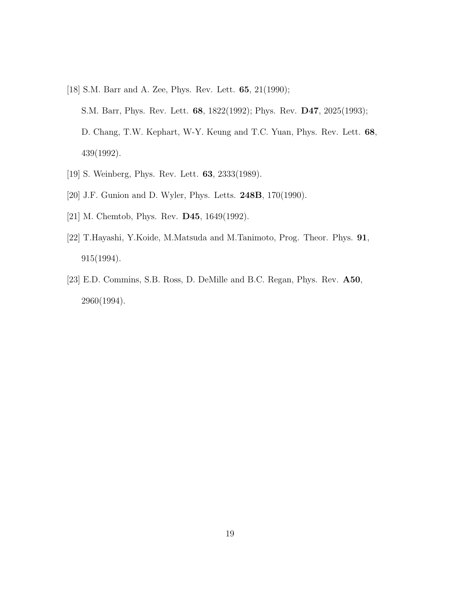[18] S.M. Barr and A. Zee, Phys. Rev. Lett. 65, 21(1990); S.M. Barr, Phys. Rev. Lett. 68, 1822(1992); Phys. Rev. D47, 2025(1993); D. Chang, T.W. Kephart, W-Y. Keung and T.C. Yuan, Phys. Rev. Lett. 68,

439(1992).

- [19] S. Weinberg, Phys. Rev. Lett. 63, 2333(1989).
- [20] J.F. Gunion and D. Wyler, Phys. Letts. **248B**, 170(1990).
- [21] M. Chemtob, Phys. Rev. D45, 1649(1992).
- [22] T.Hayashi, Y.Koide, M.Matsuda and M.Tanimoto, Prog. Theor. Phys. 91, 915(1994).
- [23] E.D. Commins, S.B. Ross, D. DeMille and B.C. Regan, Phys. Rev. A50, 2960(1994).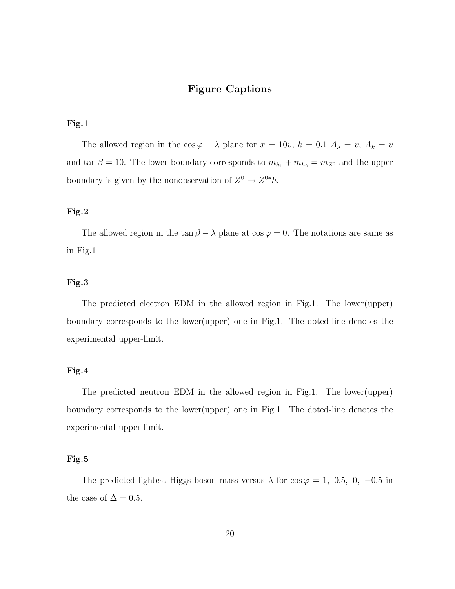### Figure Captions

#### Fig.1

The allowed region in the  $\cos \varphi - \lambda$  plane for  $x = 10v$ ,  $k = 0.1$   $A_{\lambda} = v$ ,  $A_k = v$ and tan  $\beta = 10$ . The lower boundary corresponds to  $m_{h_1} + m_{h_2} = m_{Z^0}$  and the upper boundary is given by the nonobservation of  $Z^0 \to Z^{0*}h$ .

### Fig.2

The allowed region in the  $\tan \beta - \lambda$  plane at  $\cos \varphi = 0$ . The notations are same as in Fig.1

### Fig.3

The predicted electron EDM in the allowed region in Fig.1. The lower(upper) boundary corresponds to the lower(upper) one in Fig.1. The doted-line denotes the experimental upper-limit.

#### Fig.4

The predicted neutron EDM in the allowed region in Fig.1. The lower(upper) boundary corresponds to the lower(upper) one in Fig.1. The doted-line denotes the experimental upper-limit.

#### Fig.5

The predicted lightest Higgs boson mass versus  $\lambda$  for  $\cos \varphi = 1$ , 0.5, 0, -0.5 in the case of  $\Delta = 0.5$ .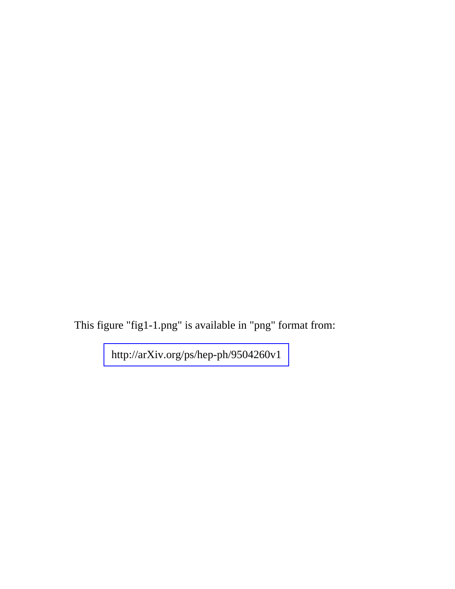This figure "fig1-1.png" is available in "png" format from:

<http://arXiv.org/ps/hep-ph/9504260v1>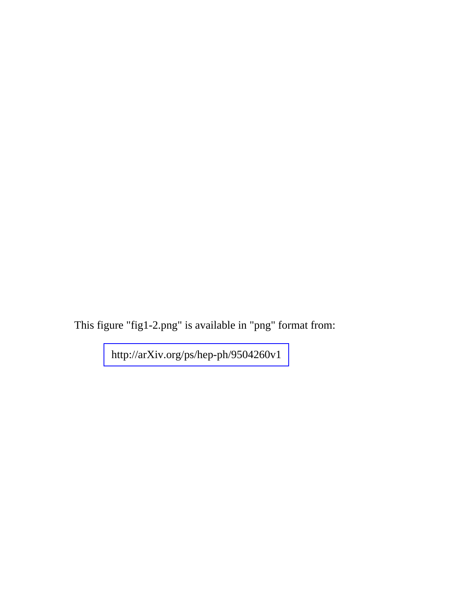This figure "fig1-2.png" is available in "png" format from:

<http://arXiv.org/ps/hep-ph/9504260v1>